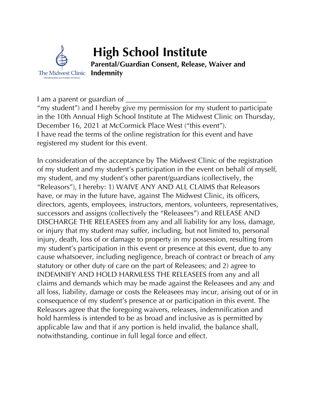

I am a parent or guardian of

"my student") and I hereby give my permission for my student to participate in the 10th Annual High School Institute at The Midwest Clinic on Thursday, December 16, 2021 at McCormick Place West ("this event"). I have read the terms of the online registration for this event and have registered my student for this event.

In consideration of the acceptance by The Midwest Clinic of the registration of my student and my student's participation in the event on behalf of myself, my student, and my student's other parent/guardians (collectively, the "Releasors"), I hereby: 1) WAIVE ANY AND ALL CLAIMS that Releasors have, or may in the future have, against The Midwest Clinic, its officers, directors, agents, employees, instructors, mentors, volunteers, representatives, successors and assigns (collectively the "Releasees") and RELEASE AND DISCHARGE THE RELEASEES from any and all liability for any loss, damage, or injury that my student may suffer, including, but not limited to, personal injury, death, loss of or damage to property in my possession, resulting from my student's participation in this event or presence at this event, due to any cause whatsoever, including negligence, breach of contract or breach of any statutory or other duty of care on the part of Releasees; and 2) agree to INDEMNIFY AND HOLD HARMLESS THE RELEASEES from any and all claims and demands which may be made against the Releasees and any and all loss, liability, damage or costs the Releasees may incur, arising out of or in consequence of my student's presence at or participation in this event. The Releasors agree that the foregoing waivers, releases, indemnification and hold harmless is intended to be as broad and inclusive as is permitted by applicable law and that if any portion is held invalid, the balance shall, notwithstanding, continue in full legal force and effect.